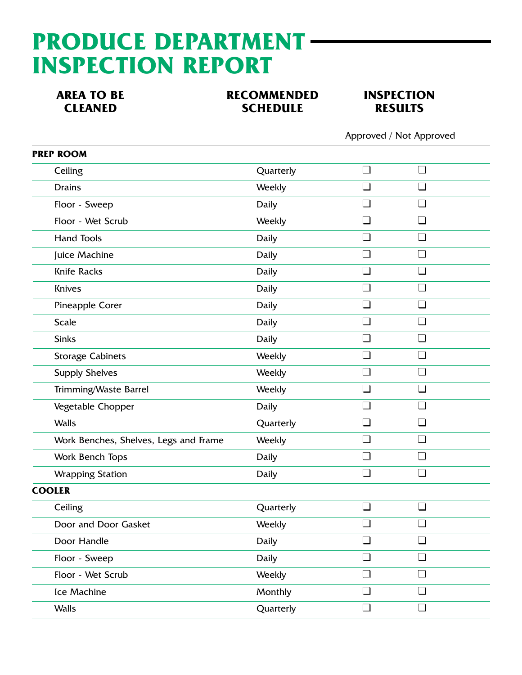## **PRODUCE DEPARTMENT INSPECTION REPORT**

**AREA TO BE RECOMMENDED INSPECTION<br>CLEANED CLEANED SCHEDULE RESULTS SCHEDULE** 



Approved / Not Approved

| <b>PREP ROOM</b>                      |              |                 |                |  |
|---------------------------------------|--------------|-----------------|----------------|--|
| Ceiling                               | Quarterly    | $\Box$          | $\Box$         |  |
| <b>Drains</b>                         | Weekly       |                 |                |  |
| Floor - Sweep                         | <b>Daily</b> | $\blacksquare$  | $\blacksquare$ |  |
| Floor - Wet Scrub                     | Weekly       | $\Box$          | $\Box$         |  |
| <b>Hand Tools</b>                     | <b>Daily</b> | $\vert$ $\vert$ | $\blacksquare$ |  |
| Juice Machine                         | Daily        | $\Box$          | $\Box$         |  |
| <b>Knife Racks</b>                    | Daily        | П               | $\Box$         |  |
| Knives                                | <b>Daily</b> |                 |                |  |
| Pineapple Corer                       | <b>Daily</b> | $\Box$          | $\blacksquare$ |  |
| <b>Scale</b>                          | <b>Daily</b> | $\Box$          | $\Box$         |  |
| <b>Sinks</b>                          | <b>Daily</b> |                 |                |  |
| <b>Storage Cabinets</b>               | Weekly       | $\Box$          | $\Box$         |  |
| <b>Supply Shelves</b>                 | Weekly       | $\Box$          | $\Box$         |  |
| Trimming/Waste Barrel                 | Weekly       | $\Box$          | $\Box$         |  |
| Vegetable Chopper                     | <b>Daily</b> | $\blacksquare$  | $\blacksquare$ |  |
| <b>Walls</b>                          | Quarterly    | $\Box$          | $\Box$         |  |
| Work Benches, Shelves, Legs and Frame | Weekly       | П               | $\Box$         |  |
| Work Bench Tops                       | <b>Daily</b> | $\Box$          | $\Box$         |  |
| <b>Wrapping Station</b>               | Daily        | $\Box$          | $\blacksquare$ |  |
| <b>COOLER</b>                         |              |                 |                |  |
| Ceiling                               | Quarterly    | $\Box$          | $\Box$         |  |
| Door and Door Gasket                  | Weekly       | $\blacksquare$  | $\sqcup$       |  |
| Door Handle                           | <b>Daily</b> | $\Box$          | $\Box$         |  |
| Floor - Sweep                         | <b>Daily</b> | $\Box$          | $\Box$         |  |
| Floor - Wet Scrub                     | Weekly       | $\Box$          | $\Box$         |  |
| Ice Machine                           | Monthly      | $\Box$          | $\Box$         |  |
| <b>Walls</b>                          | Quarterly    | $\Box$          | $\Box$         |  |